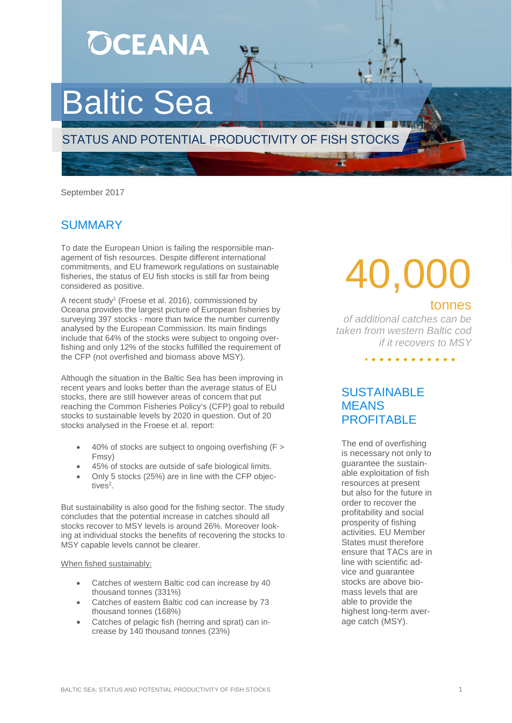**OCEANA** Baltic Sea STATUS AND POTENTIAL PRODUCTIVITY OF FISH STOCKS

September 2017

## **SUMMARY**

To date the European Union is failing the responsible management of fish resources. Despite different international commitments, and EU framework regulations on sustainable fisheries, the status of EU fish stocks is still far from being considered as positive.

A recent study<sup>1</sup> (Froese et al. 2016), commissioned by Oceana provides the largest picture of European fisheries by surveying 397 stocks - more than twice the number currently analysed by the European Commission. Its main findings include that 64% of the stocks were subject to ongoing overfishing and only 12% of the stocks fulfilled the requirement of the CFP (not overfished and biomass above MSY).

Although the situation in the Baltic Sea has been improving in recent years and looks better than the average status of EU stocks, there are still however areas of concern that put reaching the Common Fisheries Policy's (CFP) goal to rebuild stocks to sustainable levels by 2020 in question. Out of 20 stocks analysed in the Froese et al. report:

- 40% of stocks are subject to ongoing overfishing (F > Fmsy)
- 45% of stocks are outside of safe biological limits.
- Only 5 stocks (25%) are in line with the CFP objectives<sup>2</sup>.

But sustainability is also good for the fishing sector. The study concludes that the potential increase in catches should all stocks recover to MSY levels is around 26%. Moreover looking at individual stocks the benefits of recovering the stocks to MSY capable levels cannot be clearer.

### When fished sustainably:

- Catches of western Baltic cod can increase by 40 thousand tonnes (331%)
- Catches of eastern Baltic cod can increase by 73 thousand tonnes (168%)
- Catches of pelagic fish (herring and sprat) can increase by 140 thousand tonnes (23%)

# *species caught in ICCAT fisheries, representing 11%*  tonnes 40,000

*of all reported of additional catches can be taken from western Baltic cod if it recovers to MSY*

. . . . . . . . . . .

## **SUSTAINABLE** MEANS PROFITABLE

The end of overfishing is necessary not only to guarantee the sustainable exploitation of fish resources at present but also for the future in order to recover the profitability and social prosperity of fishing activities. EU Member States must therefore ensure that TACs are in line with scientific advice and guarantee stocks are above biomass levels that are able to provide the highest long-term average catch (MSY).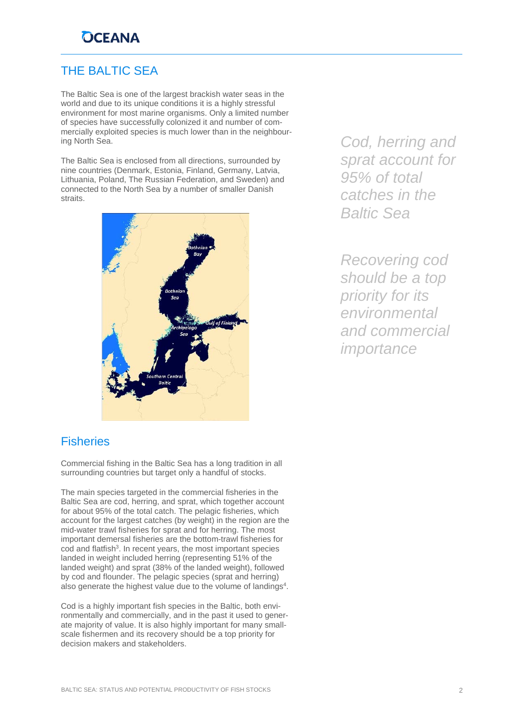# **OCEANA**

## THE BALTIC SEA

The Baltic Sea is one of the largest brackish water seas in the world and due to its unique conditions it is a highly stressful environment for most marine organisms. Only a limited number of species have successfully colonized it and number of commercially exploited species is much lower than in the neighbouring North Sea.

The Baltic Sea is enclosed from all directions, surrounded by nine countries (Denmark, Estonia, Finland, Germany, Latvia, Lithuania, Poland, The Russian Federation, and Sweden) and connected to the North Sea by a number of smaller Danish straits.



*Cod, herring and sprat account for 95% of total catches in the Baltic Sea*

*Recovering cod should be a top priority for its environmental and commercial importance*

### **Fisheries**

Commercial fishing in the Baltic Sea has a long tradition in all surrounding countries but target only a handful of stocks.

The main species targeted in the commercial fisheries in the Baltic Sea are cod, herring, and sprat, which together account for about 95% of the total catch. The pelagic fisheries, which account for the largest catches (by weight) in the region are the mid-water trawl fisheries for sprat and for herring. The most important demersal fisheries are the bottom-trawl fisheries for cod and flatfish<sup>3</sup>. In recent years, the most important species landed in weight included herring (representing 51% of the landed weight) and sprat (38% of the landed weight), followed by cod and flounder. The pelagic species (sprat and herring) also generate the highest value due to the volume of landings<sup>4</sup>.

Cod is a highly important fish species in the Baltic, both environmentally and commercially, and in the past it used to generate majority of value. It is also highly important for many smallscale fishermen and its recovery should be a top priority for decision makers and stakeholders.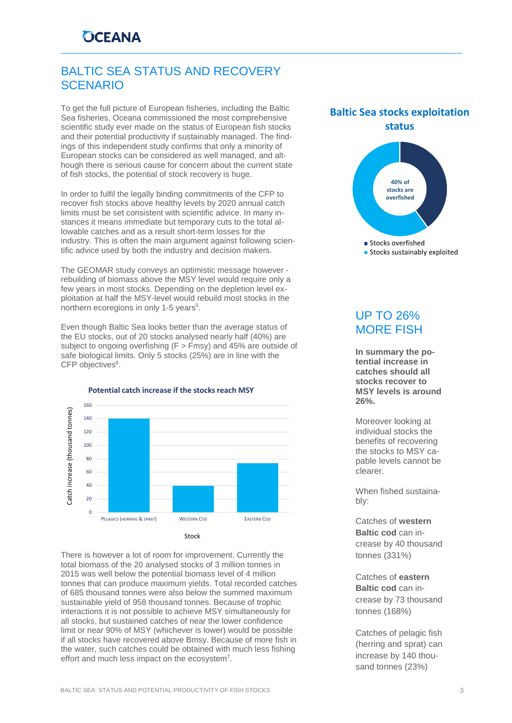# BALTIC SEA STATUS AND RECOVERY SCENARIO

To get the full picture of European fisheries, including the Baltic Sea fisheries, Oceana commissioned the most comprehensive scientific study ever made on the status of European fish stocks and their potential productivity if sustainably managed. The findings of this independent study confirms that only a minority of European stocks can be considered as well managed, and although there is serious cause for concern about the current state of fish stocks, the potential of stock recovery is huge.

In order to fulfil the legally binding commitments of the CFP to recover fish stocks above healthy levels by 2020 annual catch limits must be set consistent with scientific advice. In many instances it means immediate but temporary cuts to the total allowable catches and as a result short-term losses for the industry. This is often the main argument against following scientific advice used by both the industry and decision makers.

The GEOMAR study conveys an optimistic message however rebuilding of biomass above the MSY level would require only a few years in most stocks. Depending on the depletion level exploitation at half the MSY-level would rebuild most stocks in the northern ecoregions in only 1-5 years<sup>5</sup>.

Even though Baltic Sea looks better than the average status of the EU stocks, out of 20 stocks analysed nearly half (40%) are subject to ongoing overfishing (F > Fmsy) and 45% are outside of safe biological limits. Only 5 stocks (25%) are in line with the CFP objectives<sup>6</sup>.



There is however a lot of room for improvement. Currently the total biomass of the 20 analysed stocks of 3 million tonnes in 2015 was well below the potential biomass level of 4 million tonnes that can produce maximum yields. Total recorded catches of 685 thousand tonnes were also below the summed maximum sustainable yield of 958 thousand tonnes. Because of trophic interactions it is not possible to achieve MSY simultaneously for all stocks, but sustained catches of near the lower confidence limit or near 90% of MSY (whichever is lower) would be possible if all stocks have recovered above Bmsy. Because of more fish in the water, such catches could be obtained with much less fishing effort and much less impact on the ecosystem<sup>7</sup>.

### **Baltic Sea stocks exploitation status**



#### **Stocks sustainably exploited**

# UP TO 26% MORE FISH

**In summary the potential increase in catches should all stocks recover to MSY levels is around 26%.**

Moreover looking at individual stocks the benefits of recovering the stocks to MSY capable levels cannot be clearer.

When fished sustainably:

Catches of **western Baltic cod** can increase by 40 thousand tonnes (331%)

Catches of **eastern Baltic cod** can increase by 73 thousand tonnes (168%)

Catches of pelagic fish (herring and sprat) can increase by 140 thousand tonnes (23%)